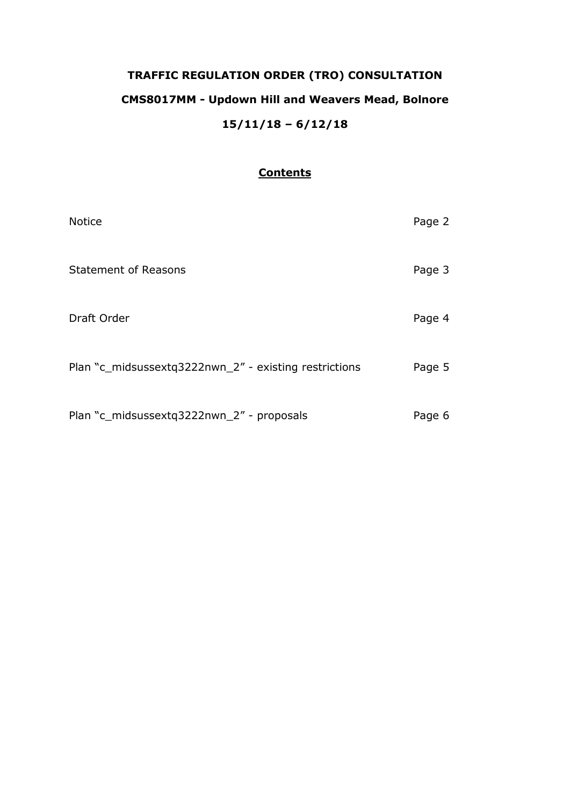# **TRAFFIC REGULATION ORDER (TRO) CONSULTATION CMS8017MM - Updown Hill and Weavers Mead, Bolnore 15/11/18 – 6/12/18**

## **Contents**

| <b>Notice</b>                                         | Page 2 |
|-------------------------------------------------------|--------|
| <b>Statement of Reasons</b>                           | Page 3 |
| Draft Order                                           | Page 4 |
| Plan "c_midsussextq3222nwn_2" - existing restrictions | Page 5 |
| Plan "c_midsussextq3222nwn_2" - proposals             | Page 6 |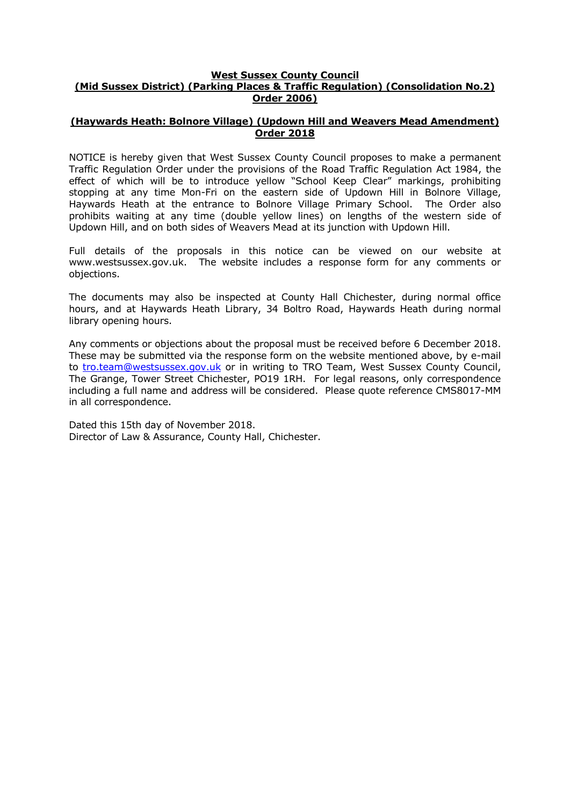#### **West Sussex County Council (Mid Sussex District) (Parking Places & Traffic Regulation) (Consolidation No.2) Order 2006)**

#### **(Haywards Heath: Bolnore Village) (Updown Hill and Weavers Mead Amendment) Order 2018**

NOTICE is hereby given that West Sussex County Council proposes to make a permanent Traffic Regulation Order under the provisions of the Road Traffic Regulation Act 1984, the effect of which will be to introduce yellow "School Keep Clear" markings, prohibiting stopping at any time Mon-Fri on the eastern side of Updown Hill in Bolnore Village, Haywards Heath at the entrance to Bolnore Village Primary School. The Order also prohibits waiting at any time (double yellow lines) on lengths of the western side of Updown Hill, and on both sides of Weavers Mead at its junction with Updown Hill.

Full details of the proposals in this notice can be viewed on our website at www.westsussex.gov.uk. The website includes a response form for any comments or objections.

The documents may also be inspected at County Hall Chichester, during normal office hours, and at Haywards Heath Library, 34 Boltro Road, Haywards Heath during normal library opening hours.

Any comments or objections about the proposal must be received before 6 December 2018. These may be submitted via the response form on the website mentioned above, by e-mail to [tro.team@westsussex.gov.uk](mailto:tro.team@westsussex.gov.uk) or in writing to TRO Team, West Sussex County Council, The Grange, Tower Street Chichester, PO19 1RH. For legal reasons, only correspondence including a full name and address will be considered. Please quote reference CMS8017-MM in all correspondence.

Dated this 15th day of November 2018. Director of Law & Assurance, County Hall, Chichester.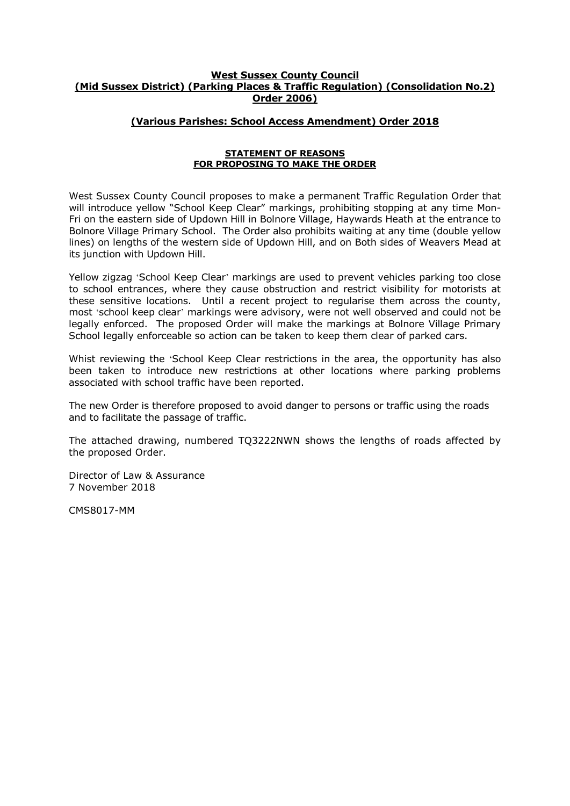#### **West Sussex County Council (Mid Sussex District) (Parking Places & Traffic Regulation) (Consolidation No.2) Order 2006)**

### **(Various Parishes: School Access Amendment) Order 2018**

#### **STATEMENT OF REASONS FOR PROPOSING TO MAKE THE ORDER**

West Sussex County Council proposes to make a permanent Traffic Regulation Order that will introduce yellow "School Keep Clear" markings, prohibiting stopping at any time Mon-Fri on the eastern side of Updown Hill in Bolnore Village, Haywards Heath at the entrance to Bolnore Village Primary School. The Order also prohibits waiting at any time (double yellow lines) on lengths of the western side of Updown Hill, and on Both sides of Weavers Mead at its junction with Updown Hill.

Yellow zigzag 'School Keep Clear' markings are used to prevent vehicles parking too close to school entrances, where they cause obstruction and restrict visibility for motorists at these sensitive locations. Until a recent project to regularise them across the county, most 'school keep clear' markings were advisory, were not well observed and could not be legally enforced. The proposed Order will make the markings at Bolnore Village Primary School legally enforceable so action can be taken to keep them clear of parked cars.

Whist reviewing the 'School Keep Clear restrictions in the area, the opportunity has also been taken to introduce new restrictions at other locations where parking problems associated with school traffic have been reported.

The new Order is therefore proposed to avoid danger to persons or traffic using the roads and to facilitate the passage of traffic.

The attached drawing, numbered TQ3222NWN shows the lengths of roads affected by the proposed Order.

Director of Law & Assurance 7 November 2018

CMS8017-MM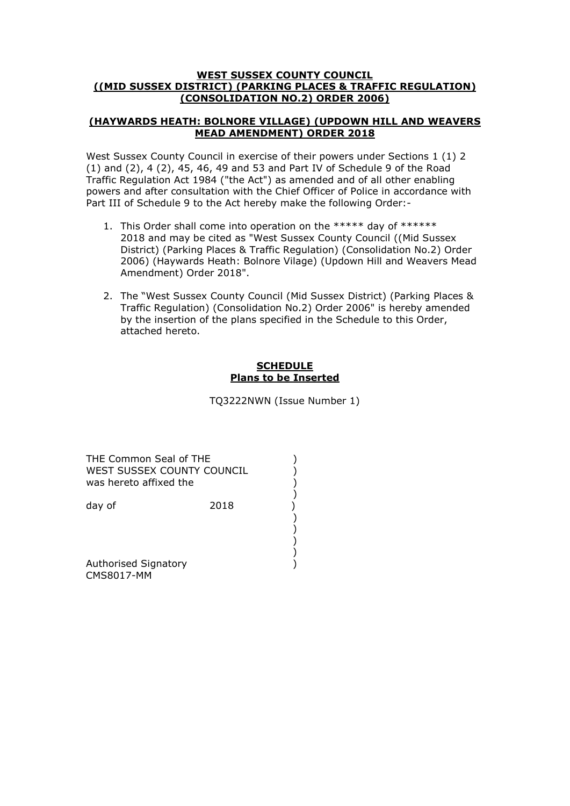#### **WEST SUSSEX COUNTY COUNCIL ((MID SUSSEX DISTRICT) (PARKING PLACES & TRAFFIC REGULATION) (CONSOLIDATION NO.2) ORDER 2006)**

#### **(HAYWARDS HEATH: BOLNORE VILLAGE) (UPDOWN HILL AND WEAVERS MEAD AMENDMENT) ORDER 2018**

West Sussex County Council in exercise of their powers under Sections 1 (1) 2 (1) and (2), 4 (2), 45, 46, 49 and 53 and Part IV of Schedule 9 of the Road Traffic Regulation Act 1984 ("the Act") as amended and of all other enabling powers and after consultation with the Chief Officer of Police in accordance with Part III of Schedule 9 to the Act hereby make the following Order:-

- 1. This Order shall come into operation on the \*\*\*\*\* day of \*\*\*\*\*\* 2018 and may be cited as "West Sussex County Council ((Mid Sussex District) (Parking Places & Traffic Regulation) (Consolidation No.2) Order 2006) (Haywards Heath: Bolnore Vilage) (Updown Hill and Weavers Mead Amendment) Order 2018".
- 2. The "West Sussex County Council (Mid Sussex District) (Parking Places & Traffic Regulation) (Consolidation No.2) Order 2006" is hereby amended by the insertion of the plans specified in the Schedule to this Order, attached hereto.

## **SCHEDULE Plans to be Inserted**

TQ3222NWN (Issue Number 1)

THE Common Seal of THE (2002) WEST SUSSEX COUNTY COUNCIL  $)$ was hereto affixed the )

 ) day of 2018

 ) ) )

 ) Authorised Signatory (1999) CMS8017-MM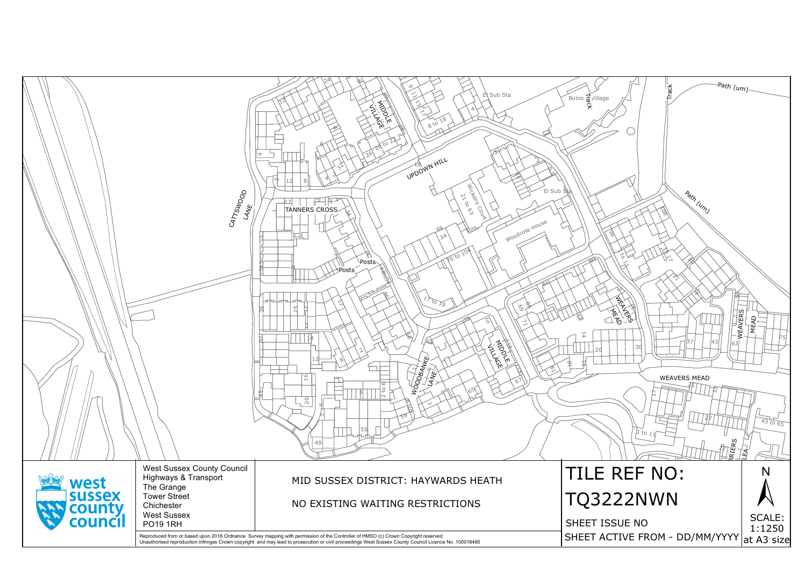